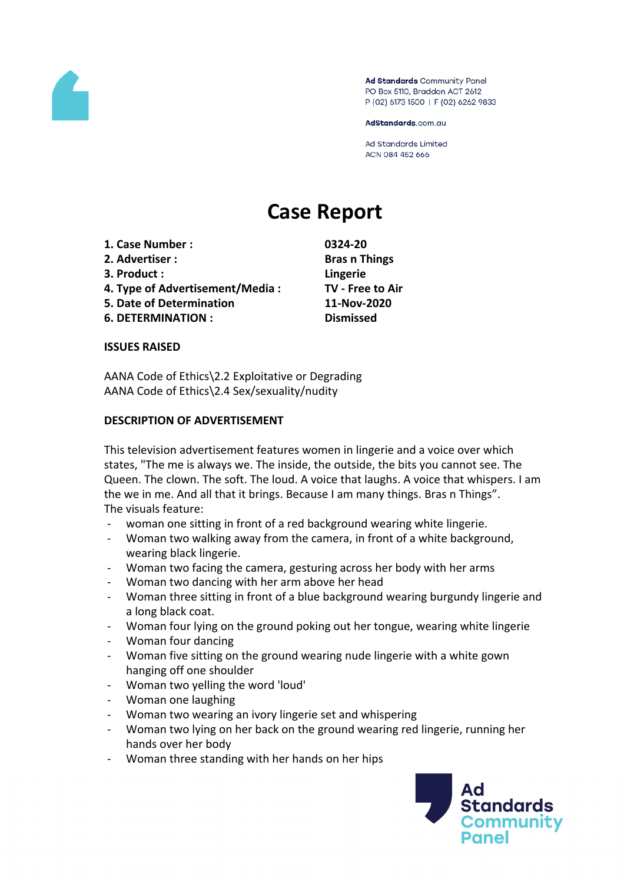

Ad Standards Community Panel PO Box 5110, Braddon ACT 2612 P (02) 6173 1500 | F (02) 6262 9833

AdStandards.com.au

**Ad Standards Limited** ACN 084 452 666

# **Case Report**

- **1. Case Number : 0324-20**
- **2. Advertiser : Bras n Things**
- **3. Product : Lingerie**
- **4. Type of Advertisement/Media : TV - Free to Air**
- **5. Date of Determination 11-Nov-2020**
- **6. DETERMINATION : Dismissed**

### **ISSUES RAISED**

AANA Code of Ethics\2.2 Exploitative or Degrading AANA Code of Ethics\2.4 Sex/sexuality/nudity

### **DESCRIPTION OF ADVERTISEMENT**

This television advertisement features women in lingerie and a voice over which states, "The me is always we. The inside, the outside, the bits you cannot see. The Queen. The clown. The soft. The loud. A voice that laughs. A voice that whispers. I am the we in me. And all that it brings. Because I am many things. Bras n Things". The visuals feature:

- woman one sitting in front of a red background wearing white lingerie.
- Woman two walking away from the camera, in front of a white background, wearing black lingerie.
- Woman two facing the camera, gesturing across her body with her arms
- Woman two dancing with her arm above her head
- Woman three sitting in front of a blue background wearing burgundy lingerie and a long black coat.
- Woman four lying on the ground poking out her tongue, wearing white lingerie
- Woman four dancing
- Woman five sitting on the ground wearing nude lingerie with a white gown hanging off one shoulder
- Woman two yelling the word 'loud'
- Woman one laughing
- Woman two wearing an ivory lingerie set and whispering
- Woman two lying on her back on the ground wearing red lingerie, running her hands over her body
- Woman three standing with her hands on her hips

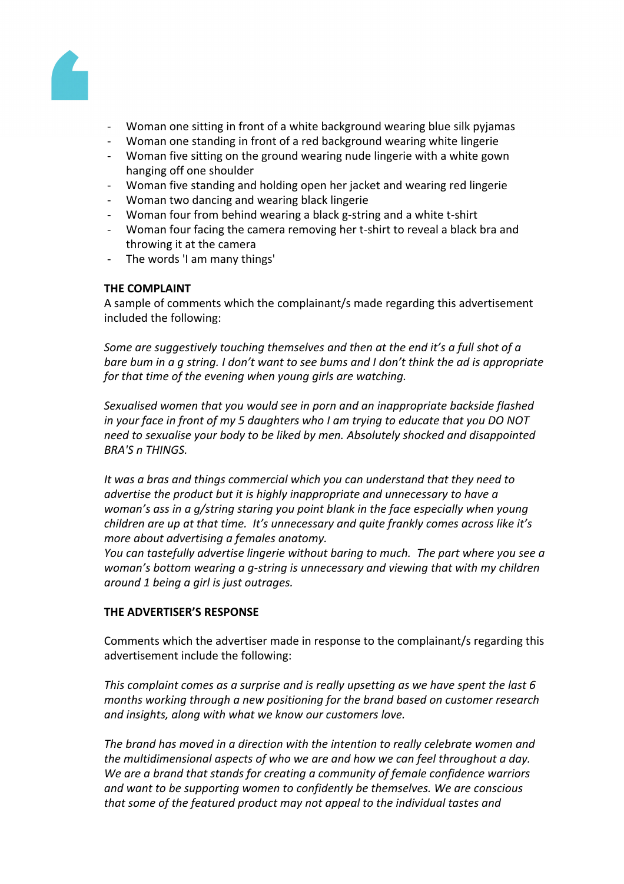

- Woman one sitting in front of a white background wearing blue silk pyjamas
- Woman one standing in front of a red background wearing white lingerie
- Woman five sitting on the ground wearing nude lingerie with a white gown hanging off one shoulder
- Woman five standing and holding open her jacket and wearing red lingerie
- Woman two dancing and wearing black lingerie
- Woman four from behind wearing a black g-string and a white t-shirt
- Woman four facing the camera removing her t-shirt to reveal a black bra and throwing it at the camera
- The words 'I am many things'

### **THE COMPLAINT**

A sample of comments which the complainant/s made regarding this advertisement included the following:

*Some are suggestively touching themselves and then at the end it's a full shot of a* bare bum in a g string. I don't want to see bums and I don't think the ad is appropriate *for that time of the evening when young girls are watching.*

*Sexualised women that you would see in porn and an inappropriate backside flashed in your face in front of my 5 daughters who I am trying to educate that you DO NOT need to sexualise your body to be liked by men. Absolutely shocked and disappointed BRA'S n THINGS.*

*It was a bras and things commercial which you can understand that they need to advertise the product but it is highly inappropriate and unnecessary to have a woman's ass in a g/string staring you point blank in the face especially when young children are up at that time. It's unnecessary and quite frankly comes across like it's more about advertising a females anatomy.*

*You can tastefully advertise lingerie without baring to much. The part where you see a woman's bottom wearing a g-string is unnecessary and viewing that with my children around 1 being a girl is just outrages.*

### **THE ADVERTISER'S RESPONSE**

Comments which the advertiser made in response to the complainant/s regarding this advertisement include the following:

*This complaint comes as a surprise and is really upsetting as we have spent the last 6 months working through a new positioning for the brand based on customer research and insights, along with what we know our customers love.*

*The brand has moved in a direction with the intention to really celebrate women and the multidimensional aspects of who we are and how we can feel throughout a day. We are a brand that stands for creating a community of female confidence warriors and want to be supporting women to confidently be themselves. We are conscious that some of the featured product may not appeal to the individual tastes and*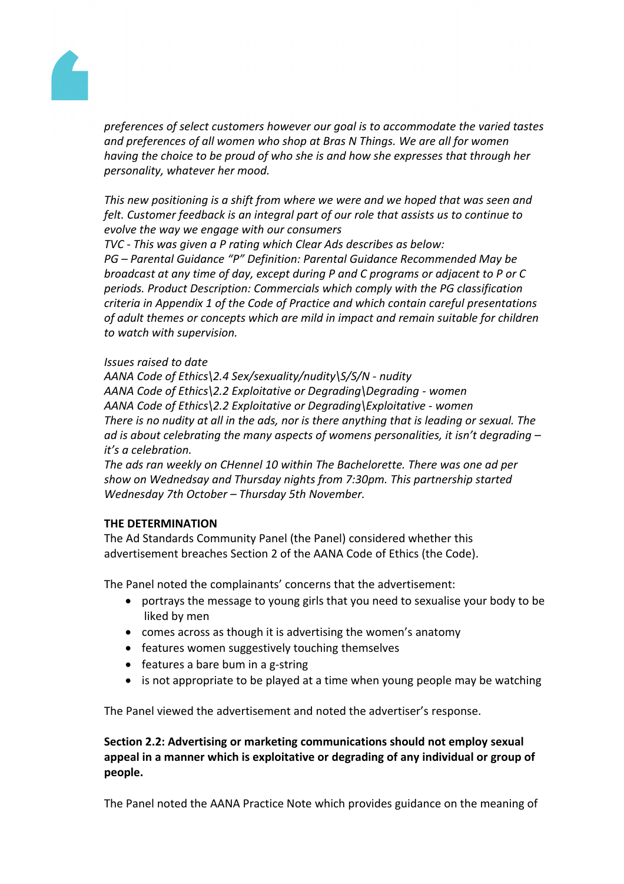

*preferences of select customers however our goal is to accommodate the varied tastes and preferences of all women who shop at Bras N Things. We are all for women having the choice to be proud of who she is and how she expresses that through her personality, whatever her mood.*

*This new positioning is a shift from where we were and we hoped that was seen and felt. Customer feedback is an integral part of our role that assists us to continue to evolve the way we engage with our consumers*

*TVC - This was given a P rating which Clear Ads describes as below:*

*PG – Parental Guidance "P" Definition: Parental Guidance Recommended May be broadcast at any time of day, except during P and C programs or adjacent to P or C periods. Product Description: Commercials which comply with the PG classification criteria in Appendix 1 of the Code of Practice and which contain careful presentations of adult themes or concepts which are mild in impact and remain suitable for children to watch with supervision.*

### *Issues raised to date*

*AANA Code of Ethics\2.4 Sex/sexuality/nudity\S/S/N - nudity AANA Code of Ethics\2.2 Exploitative or Degrading\Degrading - women AANA Code of Ethics\2.2 Exploitative or Degrading\Exploitative - women There is no nudity at all in the ads, nor is there anything that is leading or sexual. The ad is about celebrating the many aspects of womens personalities, it isn't degrading – it's a celebration.*

*The ads ran weekly on CHennel 10 within The Bachelorette. There was one ad per show on Wednedsay and Thursday nights from 7:30pm. This partnership started Wednesday 7th October – Thursday 5th November.*

# **THE DETERMINATION**

The Ad Standards Community Panel (the Panel) considered whether this advertisement breaches Section 2 of the AANA Code of Ethics (the Code).

The Panel noted the complainants' concerns that the advertisement:

- portrays the message to young girls that you need to sexualise your body to be liked by men
- comes across as though it is advertising the women's anatomy
- features women suggestively touching themselves
- $\bullet$  features a bare bum in a g-string
- is not appropriate to be played at a time when young people may be watching

The Panel viewed the advertisement and noted the advertiser's response.

# **Section 2.2: Advertising or marketing communications should not employ sexual appeal in a manner which is exploitative or degrading of any individual or group of people.**

The Panel noted the AANA Practice Note which provides guidance on the meaning of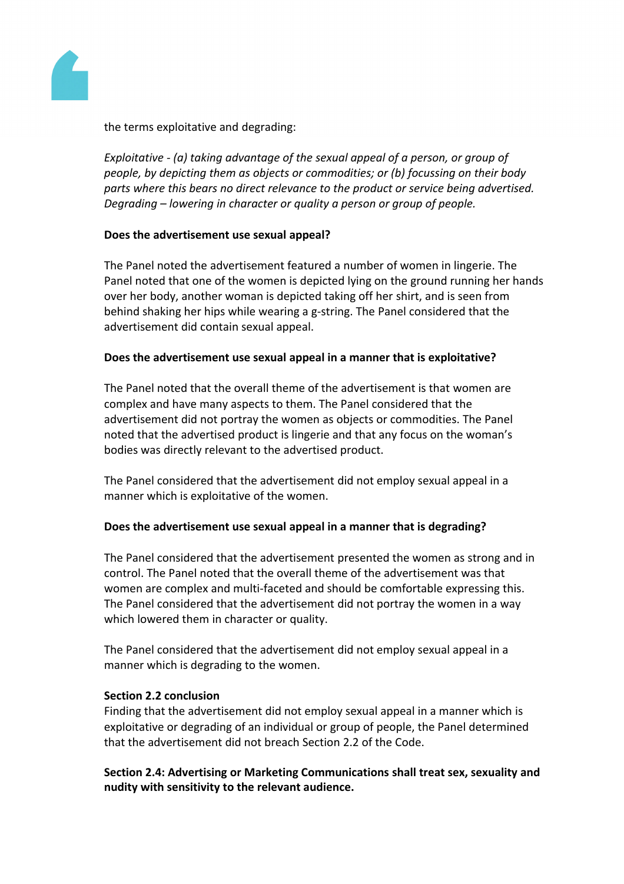

the terms exploitative and degrading:

*Exploitative - (a) taking advantage of the sexual appeal of a person, or group of people, by depicting them as objects or commodities; or (b) focussing on their body parts where this bears no direct relevance to the product or service being advertised. Degrading – lowering in character or quality a person or group of people.*

## **Does the advertisement use sexual appeal?**

The Panel noted the advertisement featured a number of women in lingerie. The Panel noted that one of the women is depicted lying on the ground running her hands over her body, another woman is depicted taking off her shirt, and is seen from behind shaking her hips while wearing a g-string. The Panel considered that the advertisement did contain sexual appeal.

## **Does the advertisement use sexual appeal in a manner that is exploitative?**

The Panel noted that the overall theme of the advertisement is that women are complex and have many aspects to them. The Panel considered that the advertisement did not portray the women as objects or commodities. The Panel noted that the advertised product is lingerie and that any focus on the woman's bodies was directly relevant to the advertised product.

The Panel considered that the advertisement did not employ sexual appeal in a manner which is exploitative of the women.

### **Does the advertisement use sexual appeal in a manner that is degrading?**

The Panel considered that the advertisement presented the women as strong and in control. The Panel noted that the overall theme of the advertisement was that women are complex and multi-faceted and should be comfortable expressing this. The Panel considered that the advertisement did not portray the women in a way which lowered them in character or quality.

The Panel considered that the advertisement did not employ sexual appeal in a manner which is degrading to the women.

### **Section 2.2 conclusion**

Finding that the advertisement did not employ sexual appeal in a manner which is exploitative or degrading of an individual or group of people, the Panel determined that the advertisement did not breach Section 2.2 of the Code.

**Section 2.4: Advertising or Marketing Communications shall treat sex, sexuality and nudity with sensitivity to the relevant audience.**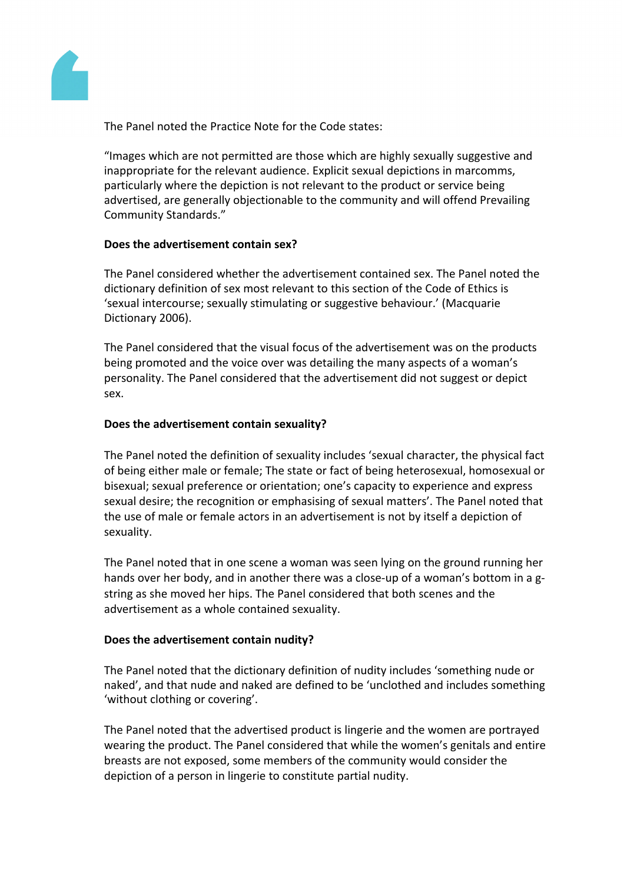

The Panel noted the Practice Note for the Code states:

"Images which are not permitted are those which are highly sexually suggestive and inappropriate for the relevant audience. Explicit sexual depictions in marcomms, particularly where the depiction is not relevant to the product or service being advertised, are generally objectionable to the community and will offend Prevailing Community Standards."

## **Does the advertisement contain sex?**

The Panel considered whether the advertisement contained sex. The Panel noted the dictionary definition of sex most relevant to this section of the Code of Ethics is 'sexual intercourse; sexually stimulating or suggestive behaviour.' (Macquarie Dictionary 2006).

The Panel considered that the visual focus of the advertisement was on the products being promoted and the voice over was detailing the many aspects of a woman's personality. The Panel considered that the advertisement did not suggest or depict sex.

# **Does the advertisement contain sexuality?**

The Panel noted the definition of sexuality includes 'sexual character, the physical fact of being either male or female; The state or fact of being heterosexual, homosexual or bisexual; sexual preference or orientation; one's capacity to experience and express sexual desire; the recognition or emphasising of sexual matters'. The Panel noted that the use of male or female actors in an advertisement is not by itself a depiction of sexuality.

The Panel noted that in one scene a woman was seen lying on the ground running her hands over her body, and in another there was a close-up of a woman's bottom in a gstring as she moved her hips. The Panel considered that both scenes and the advertisement as a whole contained sexuality.

# **Does the advertisement contain nudity?**

The Panel noted that the dictionary definition of nudity includes 'something nude or naked', and that nude and naked are defined to be 'unclothed and includes something 'without clothing or covering'.

The Panel noted that the advertised product is lingerie and the women are portrayed wearing the product. The Panel considered that while the women's genitals and entire breasts are not exposed, some members of the community would consider the depiction of a person in lingerie to constitute partial nudity.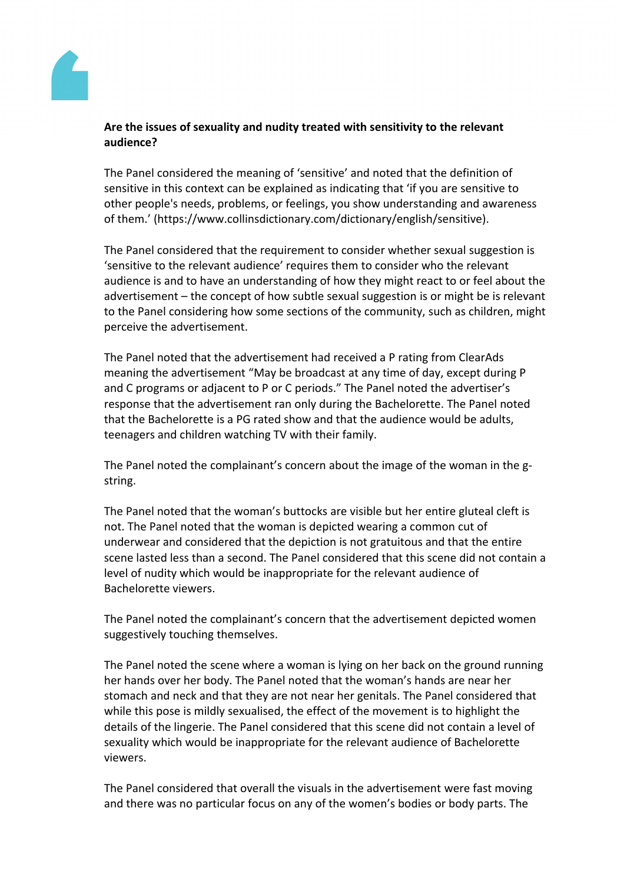

## **Are the issues of sexuality and nudity treated with sensitivity to the relevant audience?**

The Panel considered the meaning of 'sensitive' and noted that the definition of sensitive in this context can be explained as indicating that 'if you are sensitive to other people's needs, problems, or feelings, you show understanding and awareness of them.' (https://www.collinsdictionary.com/dictionary/english/sensitive).

The Panel considered that the requirement to consider whether sexual suggestion is 'sensitive to the relevant audience' requires them to consider who the relevant audience is and to have an understanding of how they might react to or feel about the advertisement – the concept of how subtle sexual suggestion is or might be is relevant to the Panel considering how some sections of the community, such as children, might perceive the advertisement.

The Panel noted that the advertisement had received a P rating from ClearAds meaning the advertisement "May be broadcast at any time of day, except during P and C programs or adjacent to P or C periods." The Panel noted the advertiser's response that the advertisement ran only during the Bachelorette. The Panel noted that the Bachelorette is a PG rated show and that the audience would be adults, teenagers and children watching TV with their family.

The Panel noted the complainant's concern about the image of the woman in the gstring.

The Panel noted that the woman's buttocks are visible but her entire gluteal cleft is not. The Panel noted that the woman is depicted wearing a common cut of underwear and considered that the depiction is not gratuitous and that the entire scene lasted less than a second. The Panel considered that this scene did not contain a level of nudity which would be inappropriate for the relevant audience of Bachelorette viewers.

The Panel noted the complainant's concern that the advertisement depicted women suggestively touching themselves.

The Panel noted the scene where a woman is lying on her back on the ground running her hands over her body. The Panel noted that the woman's hands are near her stomach and neck and that they are not near her genitals. The Panel considered that while this pose is mildly sexualised, the effect of the movement is to highlight the details of the lingerie. The Panel considered that this scene did not contain a level of sexuality which would be inappropriate for the relevant audience of Bachelorette viewers.

The Panel considered that overall the visuals in the advertisement were fast moving and there was no particular focus on any of the women's bodies or body parts. The